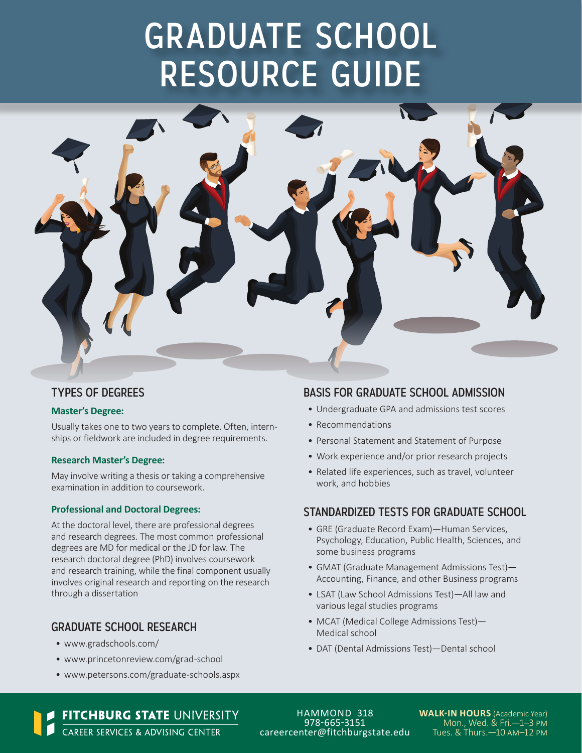# GRADUATE SCHOOL RESOURCE GUIDE



# TYPES OF DEGREES

#### **Master's Degree:**

Usually takes one to two years to complete. Often, internships or fieldwork are included in degree requirements.

#### **Research Master's Degree:**

May involve writing a thesis or taking a comprehensive examination in addition to coursework.

#### **Professional and Doctoral Degrees:**

At the doctoral level, there are professional degrees and research degrees. The most common professional degrees are MD for medical or the JD for law. The research doctoral degree (PhD) involves coursework and research training, while the final component usually involves original research and reporting on the research through a dissertation

## GRADUATE SCHOOL RESEARCH

- [www.gradschools.com/](http://www.gradschools.com/)
- [www.princetonreview.com/grad-school](http://www.princetonreview.com/grad-school)
- [www.petersons.com/graduate-schools.aspx](http://www.petersons.com/graduate-schools.aspx)

# BASIS FOR GRADUATE SCHOOL ADMISSION

- Undergraduate GPA and admissions test scores
- Recommendations
- Personal Statement and Statement of Purpose
- Work experience and/or prior research projects
- Related life experiences, such as travel, volunteer work, and hobbies

### STANDARDIZED TESTS FOR GRADUATE SCHOOL

- GRE (Graduate Record Exam)—Human Services, Psychology, Education, Public Health, Sciences, and some business programs
- GMAT (Graduate Management Admissions Test)— Accounting, Finance, and other Business programs
- LSAT (Law School Admissions Test)—All law and various legal studies programs
- MCAT (Medical College Admissions Test)— Medical school
- DAT (Dental Admissions Test)—Dental school

FITCHBURG STATE UNIVERSITY<br>CAREER SERVICES & ADVISING CENTER

HAMMOND 318 978-665-3151 [careercenter@fitchburgstate.edu](mailto:careercenter@fitchburgstate.edu) **WALK-IN HOURS** (Academic Year) Mon., Wed. & Fri.—1–3 pm Tues. & Thurs.—10 am–12 pm